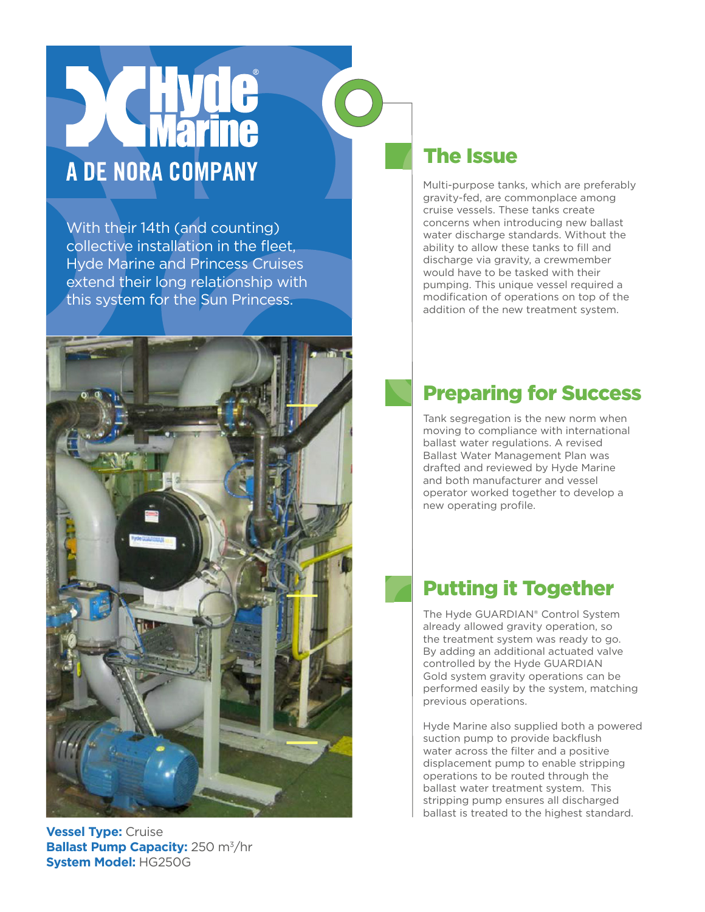# A DE NORA COMPANY

With their 14th (and counting) collective installation in the fleet, Hyde Marine and Princess Cruises extend their long relationship with this system for the Sun Princess.



### **Vessel Type:** Cruise **Ballast Pump Capacity:** 250 m<sup>3</sup>/hr **System Model:** HG250G

### The Issue

Multi-purpose tanks, which are preferably gravity-fed, are commonplace among cruise vessels. These tanks create concerns when introducing new ballast water discharge standards. Without the ability to allow these tanks to fill and discharge via gravity, a crewmember would have to be tasked with their pumping. This unique vessel required a modification of operations on top of the addition of the new treatment system.

# Preparing for Success

Tank segregation is the new norm when moving to compliance with international ballast water regulations. A revised Ballast Water Management Plan was drafted and reviewed by Hyde Marine and both manufacturer and vessel operator worked together to develop a new operating profile.

## Putting it Together

The Hyde GUARDIAN® Control System already allowed gravity operation, so the treatment system was ready to go. By adding an additional actuated valve controlled by the Hyde GUARDIAN Gold system gravity operations can be performed easily by the system, matching previous operations.

Hyde Marine also supplied both a powered suction pump to provide backflush water across the filter and a positive displacement pump to enable stripping operations to be routed through the ballast water treatment system. This stripping pump ensures all discharged ballast is treated to the highest standard.